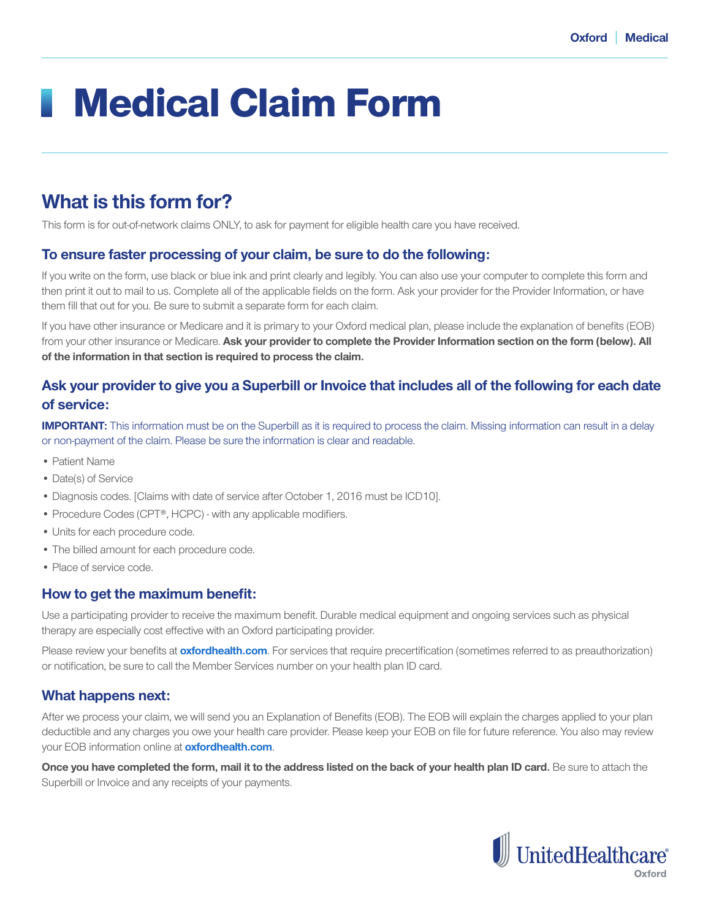# Medical Claim Form

# **What is this form for?**

This form is for out-of-network claims ONLY, to ask for payment for eligible health care you have received.

### **To ensure faster processing of your claim, be sure to do the following:**

If you write on the form, use black or blue ink and print clearly and legibly. You can also use your computer to complete this form and then print it out to mail to us. Complete all of the applicable fields on the form. Ask your provider for the Provider Information, or have them fill that out for you. Be sure to submit a separate form for each claim.

If you have other insurance or Medicare and it is primary to your Oxford medical plan, please include the explanation of benefits (EOB) from your other insurance or Medicare. **Ask your provider to complete the Provider Information section on the form (below). All of the information in that section is required to process the claim.**

# **Ask your provider to give you a Superbill or Invoice that includes all of the following for each date of service:**

**IMPORTANT:** This information must be on the Superbill as it is required to process the claim. Missing information can result in a delay or non-payment of the claim. Please be sure the information is clear and readable.

- Patient Name
- Date(s) of Service
- Diagnosis codes. [Claims with date of service after October 1, 2016 must be ICD10].
- Procedure Codes (CPT®, HCPC) with any applicable modifiers.
- Units for each procedure code.
- The billed amount for each procedure code.
- Place of service code.

## **How to get the maximum benefit:**

Use a participating provider to receive the maximum benefit. Durable medical equipment and ongoing services such as physical therapy are especially cost effective with an Oxford participating provider.

Please review your benefits at **oxfordhealth.com**. For services that require precertification (sometimes referred to as preauthorization) or notification, be sure to call the Member Services number on your health plan ID card.

### **What happens next:**

After we process your claim, we will send you an Explanation of Benefits (EOB). The EOB will explain the charges applied to your plan deductible and any charges you owe your health care provider. Please keep your EOB on file for future reference. You also may review your EOB information online at **oxfordhealth.com**.

**Once you have completed the form, mail it to the address listed on the back of your health plan ID card.** Be sure to attach the Superbill or Invoice and any receipts of your payments.